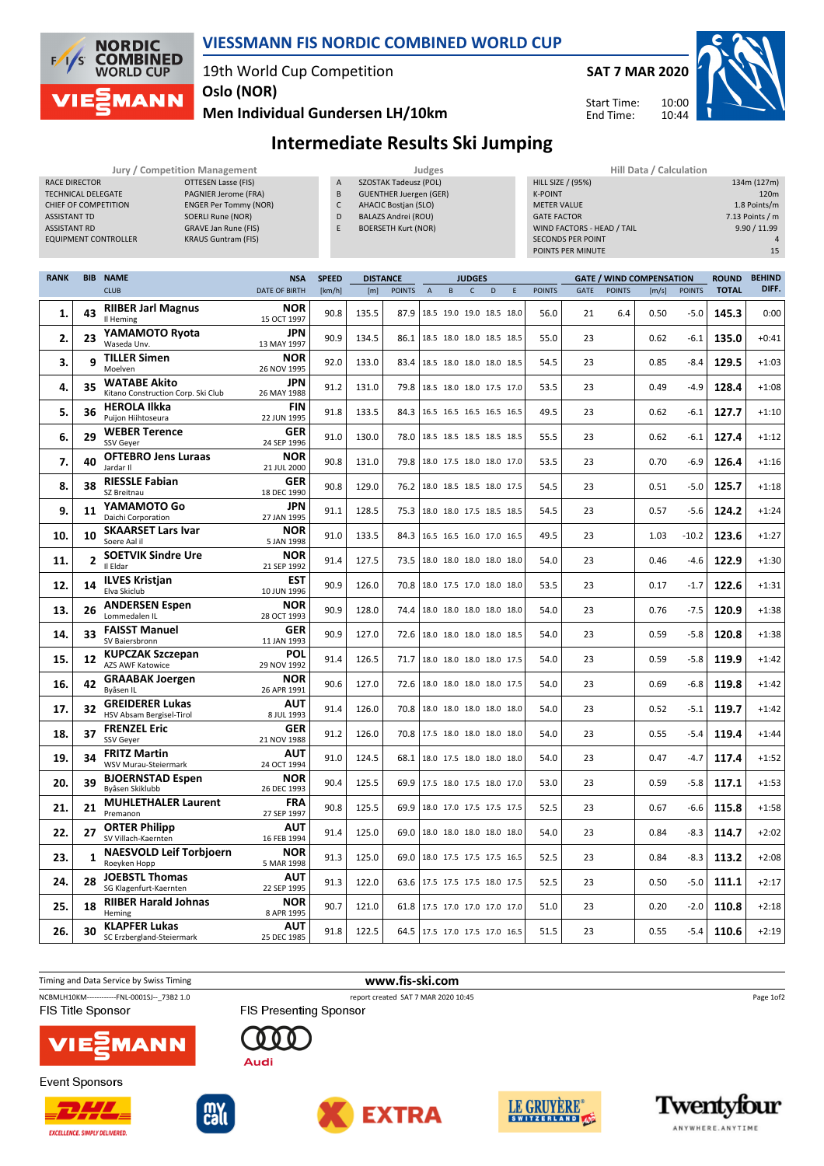

RACE DIRECTOR **OTTESEN Lasse (FIS)** 

## **VIESSMANN FIS NORDIC COMBINED WORLD CUP**

A SZOSTAK Tadeusz (POL)

19th World Cup Competition **Oslo (NOR)**

**SAT 7 MAR 2020**

HILL SIZE / (95%) 134m (127m)

Start Time: End Time:



**Men Individual Gundersen LH/10km**

**Intermediate Results Ski Jumping Jury / Competition Management Judges Hill Data / Calculation**

| TECHNICAL DELEGATE<br>PAGNIER Jerome (FRA)<br>CHIEF OF COMPETITION<br><b>ENGER Per Tommy (NOR)</b><br><b>SOERLI Rune (NOR)</b><br><b>ASSISTANT TD</b><br><b>ASSISTANT RD</b><br><b>GRAVE Jan Rune (FIS)</b><br><b>KRAUS Guntram (FIS)</b><br><b>EQUIPMENT CONTROLLER</b> |                |                                                           |                                    |                        | <b>GUENTHER Juergen (GER)</b><br>B<br>$\mathsf C$<br><b>AHACIC Bostjan (SLO)</b><br><b>BALAZS Andrei (ROU)</b><br>D<br>F<br><b>BOERSETH Kurt (NOR)</b> |               |                                 |                          |                               |   |   | <b>K-POINT</b><br><b>METER VALUE</b><br><b>GATE FACTOR</b><br>WIND FACTORS - HEAD / TAIL<br><b>SECONDS PER POINT</b><br>POINTS PER MINUTE |          |               |                                          |                | 120m<br>1.8 Points/m<br>7.13 Points / m<br>9.90 / 11.99<br>4<br>15 |                        |
|--------------------------------------------------------------------------------------------------------------------------------------------------------------------------------------------------------------------------------------------------------------------------|----------------|-----------------------------------------------------------|------------------------------------|------------------------|--------------------------------------------------------------------------------------------------------------------------------------------------------|---------------|---------------------------------|--------------------------|-------------------------------|---|---|-------------------------------------------------------------------------------------------------------------------------------------------|----------|---------------|------------------------------------------|----------------|--------------------------------------------------------------------|------------------------|
| <b>RANK</b>                                                                                                                                                                                                                                                              |                | <b>BIB NAME</b><br><b>CLUB</b>                            | <b>NSA</b><br><b>DATE OF BIRTH</b> | <b>SPEED</b><br>[km/h] | <b>DISTANCE</b><br>[m]                                                                                                                                 | <b>POINTS</b> | $\overline{A}$                  | B                        | <b>JUDGES</b><br>$\mathsf{C}$ | D | E | <b>POINTS</b>                                                                                                                             | GATE     | <b>POINTS</b> | <b>GATE / WIND COMPENSATION</b><br>[m/s] | <b>POINTS</b>  | <b>ROUND</b><br><b>TOTAL</b>                                       | <b>BEHIND</b><br>DIFF. |
| 1.                                                                                                                                                                                                                                                                       | 43             | <b>RIIBER Jarl Magnus</b><br>Il Heming                    | <b>NOR</b><br>15 OCT 1997          | 90.8                   | 135.5                                                                                                                                                  | 87.9          |                                 | 18.5 19.0 19.0 18.5 18.0 |                               |   |   | 56.0                                                                                                                                      | 21       | 6.4           | 0.50                                     | $-5.0$         | 145.3                                                              | 0:00                   |
| 2.                                                                                                                                                                                                                                                                       | 23             | YAMAMOTO Ryota<br>Waseda Unv.                             | JPN<br>13 MAY 1997                 | 90.9                   | 134.5                                                                                                                                                  | 86.1          |                                 | 18.5 18.0 18.0 18.5 18.5 |                               |   |   | 55.0                                                                                                                                      | 23       |               | 0.62                                     | $-6.1$         | 135.0                                                              | $+0:41$                |
| 3.                                                                                                                                                                                                                                                                       | 9              | <b>TILLER Simen</b><br>Moelven                            | <b>NOR</b><br>26 NOV 1995          | 92.0                   | 133.0                                                                                                                                                  | 83.4          |                                 | 18.5 18.0 18.0 18.0 18.5 |                               |   |   | 54.5                                                                                                                                      | 23       |               | 0.85                                     | $-8.4$         | 129.5                                                              | $+1:03$                |
| 4.                                                                                                                                                                                                                                                                       | 35             | <b>WATABE Akito</b><br>Kitano Construction Corp. Ski Club | JPN<br>26 MAY 1988                 | 91.2                   | 131.0                                                                                                                                                  | 79.8          |                                 | 18.5 18.0 18.0 17.5 17.0 |                               |   |   | 53.5                                                                                                                                      | 23       |               | 0.49                                     | $-4.9$         | 128.4                                                              | $+1:08$                |
| 5.                                                                                                                                                                                                                                                                       | 36             | <b>HEROLA Ilkka</b><br>Puijon Hiihtoseura                 | <b>FIN</b><br>22 JUN 1995          | 91.8                   | 133.5                                                                                                                                                  | 84.3          |                                 | 16.5 16.5 16.5 16.5 16.5 |                               |   |   | 49.5                                                                                                                                      | 23       |               | 0.62                                     | -6.1           | 127.7                                                              | $+1:10$                |
| 6.                                                                                                                                                                                                                                                                       | 29             | <b>WEBER Terence</b><br>SSV Gever                         | <b>GER</b><br>24 SEP 1996          | 91.0                   | 130.0                                                                                                                                                  | 78.0          |                                 | 18.5 18.5 18.5 18.5 18.5 |                               |   |   | 55.5                                                                                                                                      | 23       |               | 0.62                                     | $-6.1$         | 127.4                                                              | $+1:12$                |
| 7.                                                                                                                                                                                                                                                                       | 40             | <b>OFTEBRO Jens Luraas</b><br>Jardar II                   | <b>NOR</b><br>21 JUL 2000          | 90.8                   | 131.0                                                                                                                                                  | 79.8          | 18.0 17.5 18.0 18.0 17.0        |                          |                               |   |   | 53.5                                                                                                                                      | 23       |               | 0.70                                     | -6.9           | 126.4                                                              | $+1:16$                |
| 8.                                                                                                                                                                                                                                                                       | 38             | <b>RIESSLE Fabian</b><br>SZ Breitnau<br>YAMAMOTO Go       | <b>GER</b><br>18 DEC 1990<br>JPN   | 90.8                   | 129.0                                                                                                                                                  | 76.2          | 18.0 18.5 18.5 18.0 17.5        |                          |                               |   |   | 54.5                                                                                                                                      | 23       |               | 0.51                                     | $-5.0$         | 125.7                                                              | $+1:18$                |
| 9.                                                                                                                                                                                                                                                                       | 11             | Daichi Corporation<br><b>SKAARSET Lars Ivar</b>           | 27 JAN 1995<br><b>NOR</b>          | 91.1                   | 128.5                                                                                                                                                  | 75.3          | 18.0 18.0 17.5 18.5 18.5        |                          |                               |   |   | 54.5                                                                                                                                      | 23       |               | 0.57                                     | $-5.6$         | 124.2                                                              | $+1:24$                |
| 10.                                                                                                                                                                                                                                                                      | 10             | Soere Aal il<br><b>SOETVIK Sindre Ure</b>                 | 5 JAN 1998<br><b>NOR</b>           | 91.0                   | 133.5                                                                                                                                                  | 84.3          | 16.5 16.5 16.0 17.0 16.5        |                          |                               |   |   | 49.5                                                                                                                                      | 23       |               | 1.03                                     | $-10.2$        | 123.6                                                              | $+1:27$                |
| 11.                                                                                                                                                                                                                                                                      | $\overline{2}$ | Il Eldar<br><b>ILVES Kristjan</b>                         | 21 SEP 1992<br>EST                 | 91.4                   | 127.5                                                                                                                                                  | 73.5          | 18.0 18.0 18.0 18.0 18.0        |                          |                               |   |   | 54.0                                                                                                                                      | 23       |               | 0.46                                     | -4.6           | 122.9                                                              | $+1:30$                |
| 12.                                                                                                                                                                                                                                                                      | 14             | Elva Skiclub<br><b>ANDERSEN Espen</b>                     | 10 JUN 1996<br><b>NOR</b>          | 90.9<br>90.9           | 126.0                                                                                                                                                  | 70.8          | 18.0 17.5 17.0 18.0 18.0        |                          |                               |   |   | 53.5                                                                                                                                      | 23       |               | 0.17                                     | $-1.7$         | 122.6                                                              | $+1:31$                |
| 13.<br>14.                                                                                                                                                                                                                                                               | 26<br>33       | Lommedalen IL<br><b>FAISST Manuel</b>                     | 28 OCT 1993<br><b>GER</b>          | 90.9                   | 128.0<br>127.0                                                                                                                                         | 74.4<br>72.6  | 18.0 18.0 18.0 18.0 18.5        | 18.0 18.0 18.0 18.0 18.0 |                               |   |   | 54.0<br>54.0                                                                                                                              | 23<br>23 |               | 0.76<br>0.59                             | -7.5<br>$-5.8$ | 120.9<br>120.8                                                     | $+1:38$<br>$+1:38$     |
| 15.                                                                                                                                                                                                                                                                      | 12             | SV Baiersbronn<br><b>KUPCZAK Szczepan</b>                 | 11 JAN 1993<br>POL                 | 91.4                   | 126.5                                                                                                                                                  | 71.7          |                                 | 18.0 18.0 18.0 18.0 17.5 |                               |   |   | 54.0                                                                                                                                      | 23       |               | 0.59                                     | $-5.8$         | 119.9                                                              | $+1:42$                |
| 16.                                                                                                                                                                                                                                                                      | 42             | AZS AWF Katowice<br><b>GRAABAK Joergen</b><br>Byåsen IL   | 29 NOV 1992<br><b>NOR</b>          | 90.6                   | 127.0                                                                                                                                                  | 72.6          |                                 | 18.0 18.0 18.0 18.0 17.5 |                               |   |   | 54.0                                                                                                                                      | 23       |               | 0.69                                     | -6.8           | 119.8                                                              | $+1:42$                |
| 17.                                                                                                                                                                                                                                                                      | 32             | <b>GREIDERER Lukas</b><br>HSV Absam Bergisel-Tirol        | 26 APR 1991<br>AUT<br>8 JUL 1993   | 91.4                   | 126.0                                                                                                                                                  | 70.8          | 18.0 18.0 18.0 18.0 18.0        |                          |                               |   |   | 54.0                                                                                                                                      | 23       |               | 0.52                                     | $-5.1$         | 119.7                                                              | $+1:42$                |
| 18.                                                                                                                                                                                                                                                                      | 37             | <b>FRENZEL Eric</b><br>SSV Geyer                          | <b>GER</b><br>21 NOV 1988          | 91.2                   | 126.0                                                                                                                                                  | 70.8          | 17.5 18.0 18.0 18.0 18.0        |                          |                               |   |   | 54.0                                                                                                                                      | 23       |               | 0.55                                     | -5.4           | 119.4                                                              | $+1:44$                |
| 19.                                                                                                                                                                                                                                                                      | 34             | <b>FRITZ Martin</b><br>WSV Murau-Steiermark               | AUT<br>24 OCT 1994                 | 91.0                   | 124.5                                                                                                                                                  | 68.1          | 18.0 17.5 18.0 18.0 18.0        |                          |                               |   |   | 54.0                                                                                                                                      | 23       |               | 0.47                                     | -4.7           | 117.4                                                              | $+1:52$                |
| 20.                                                                                                                                                                                                                                                                      | 39             | <b>BJOERNSTAD Espen</b><br>Byåsen Skiklubb                | <b>NOR</b><br>26 DEC 1993          | 90.4                   | 125.5                                                                                                                                                  | 69.9          | 17.5 18.0 17.5 18.0 17.0        |                          |                               |   |   | 53.0                                                                                                                                      | 23       |               | 0.59                                     | -5.8           | 117.1                                                              | $+1:53$                |
| 21.                                                                                                                                                                                                                                                                      | 21             | <b>MUHLETHALER Laurent</b><br>Premanon                    | <b>FRA</b><br>27 SEP 1997          | 90.8                   | 125.5                                                                                                                                                  |               | 69.9   18.0 17.0 17.5 17.5 17.5 |                          |                               |   |   | 52.5                                                                                                                                      | 23       |               | 0.67                                     |                | $-6.6$   115.8                                                     | $+1:58$                |
| 22.                                                                                                                                                                                                                                                                      | 27             | <b>ORTER Philipp</b><br>SV Villach-Kaernten               | <b>AUT</b><br>16 FEB 1994          | 91.4                   | 125.0                                                                                                                                                  | 69.0          | 18.0 18.0 18.0 18.0 18.0        |                          |                               |   |   | 54.0                                                                                                                                      | 23       |               | 0.84                                     | $-8.3$         | 114.7                                                              | $+2:02$                |
| 23.                                                                                                                                                                                                                                                                      | 1              | <b>NAESVOLD Leif Torbjoern</b><br>Roeyken Hopp            | <b>NOR</b><br>5 MAR 1998           | 91.3                   | 125.0                                                                                                                                                  | 69.0          | 18.0 17.5 17.5 17.5 16.5        |                          |                               |   |   | 52.5                                                                                                                                      | 23       |               | 0.84                                     | $-8.3$         | 113.2                                                              | $+2:08$                |
| 24.                                                                                                                                                                                                                                                                      | 28             | <b>JOEBSTL Thomas</b><br>SG Klagenfurt-Kaernten           | AUT<br>22 SEP 1995                 | 91.3                   | 122.0                                                                                                                                                  | 63.6          | 17.5 17.5 17.5 18.0 17.5        |                          |                               |   |   | 52.5                                                                                                                                      | 23       |               | 0.50                                     | -5.0           | 111.1                                                              | $+2:17$                |
| 25.                                                                                                                                                                                                                                                                      | 18             | <b>RIIBER Harald Johnas</b><br>Heming                     | <b>NOR</b><br>8 APR 1995           | 90.7                   | 121.0                                                                                                                                                  | 61.8          | 17.5 17.0 17.0 17.0 17.0        |                          |                               |   |   | 51.0                                                                                                                                      | 23       |               | 0.20                                     | -2.0           | 110.8                                                              | $+2:18$                |
| 26.                                                                                                                                                                                                                                                                      | 30             | <b>KLAPFER Lukas</b><br>SC Erzbergland-Steiermark         | <b>AUT</b><br>25 DEC 1985          | 91.8                   | 122.5                                                                                                                                                  |               | 64.5   17.5 17.0 17.5 17.0 16.5 |                          |                               |   |   | 51.5                                                                                                                                      | 23       |               | 0.55                                     | -5.4           | 110.6                                                              | $+2:19$                |
|                                                                                                                                                                                                                                                                          |                |                                                           |                                    |                        |                                                                                                                                                        |               |                                 |                          |                               |   |   |                                                                                                                                           |          |               |                                          |                |                                                                    |                        |